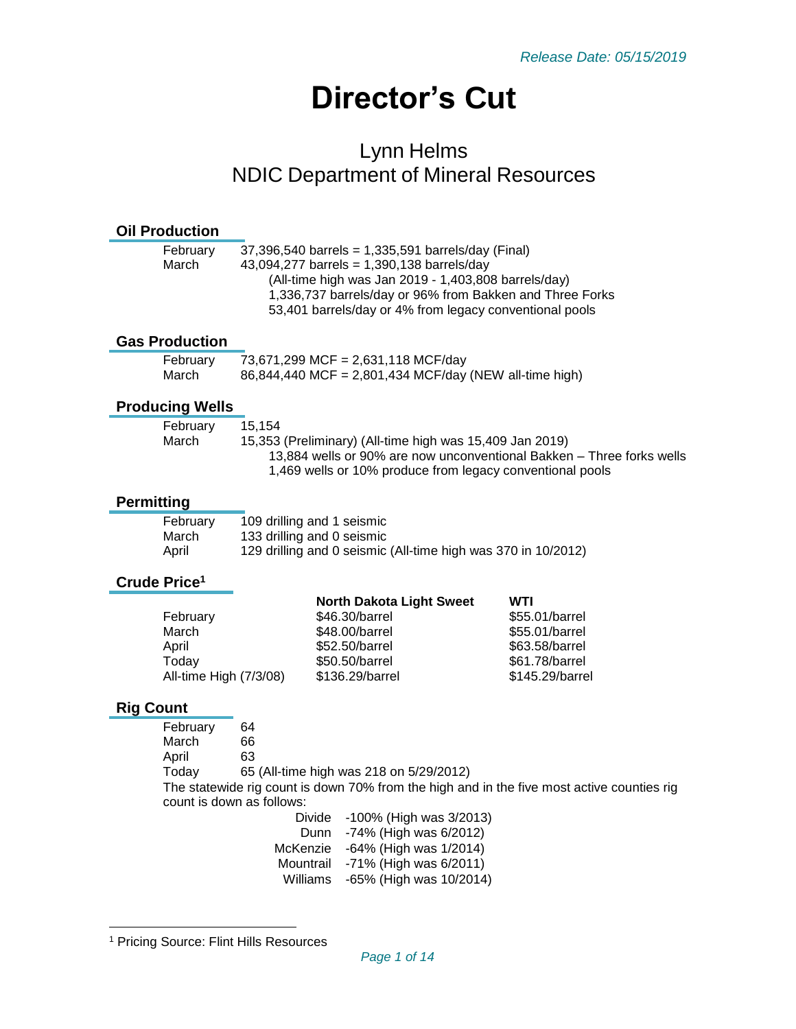# **Director's Cut**

# Lynn Helms NDIC Department of Mineral Resources

#### **Oil Production**

| February | $37,396,540$ barrels = 1,335,591 barrels/day (Final)     |
|----------|----------------------------------------------------------|
| March    | 43,094,277 barrels = $1,390,138$ barrels/day             |
|          | (All-time high was Jan 2019 - 1,403,808 barrels/day)     |
|          | 1,336,737 barrels/day or 96% from Bakken and Three Forks |
|          | 53,401 barrels/day or 4% from legacy conventional pools  |
|          |                                                          |

#### **Gas Production**

| February | 73,671,299 MCF = 2,631,118 MCF/day                     |
|----------|--------------------------------------------------------|
| March    | 86,844,440 MCF = 2,801,434 MCF/day (NEW all-time high) |

# **Producing Wells**

| February | 15.154                                                                |
|----------|-----------------------------------------------------------------------|
| March    | 15,353 (Preliminary) (All-time high was 15,409 Jan 2019)              |
|          | 13,884 wells or 90% are now unconventional Bakken – Three forks wells |
|          | 1,469 wells or 10% produce from legacy conventional pools             |

# **Permitting**

| February | 109 drilling and 1 seismic                                    |
|----------|---------------------------------------------------------------|
| March    | 133 drilling and 0 seismic                                    |
| April    | 129 drilling and 0 seismic (All-time high was 370 in 10/2012) |

# **Crude Price<sup>1</sup>**

|                        | <b>North Dakota Light Sweet</b> | WTI             |
|------------------------|---------------------------------|-----------------|
| February               | \$46.30/barrel                  | \$55.01/barrel  |
| March                  | \$48.00/barrel                  | \$55.01/barrel  |
| April                  | \$52.50/barrel                  | \$63.58/barrel  |
| Today                  | \$50.50/barrel                  | \$61.78/barrel  |
| All-time High (7/3/08) | \$136.29/barrel                 | \$145.29/barrel |
|                        |                                 |                 |

# **Rig Count**

l

| February                  | 64                                                                                         |
|---------------------------|--------------------------------------------------------------------------------------------|
| March                     | 66                                                                                         |
| April                     | 63                                                                                         |
| Today                     | 65 (All-time high was 218 on 5/29/2012)                                                    |
|                           | The statewide rig count is down 70% from the high and in the five most active counties rig |
| count is down as follows: |                                                                                            |
|                           | 1000/ (Ligh woo 2/2012)<br>Divide i                                                        |

| Divide    | -100% (High was 3/2013) |
|-----------|-------------------------|
| Dunn      | -74% (High was 6/2012)  |
| McKenzie  | -64% (High was 1/2014)  |
| Mountrail | -71% (High was 6/2011)  |
| Williams  | -65% (High was 10/2014) |

<sup>1</sup> Pricing Source: Flint Hills Resources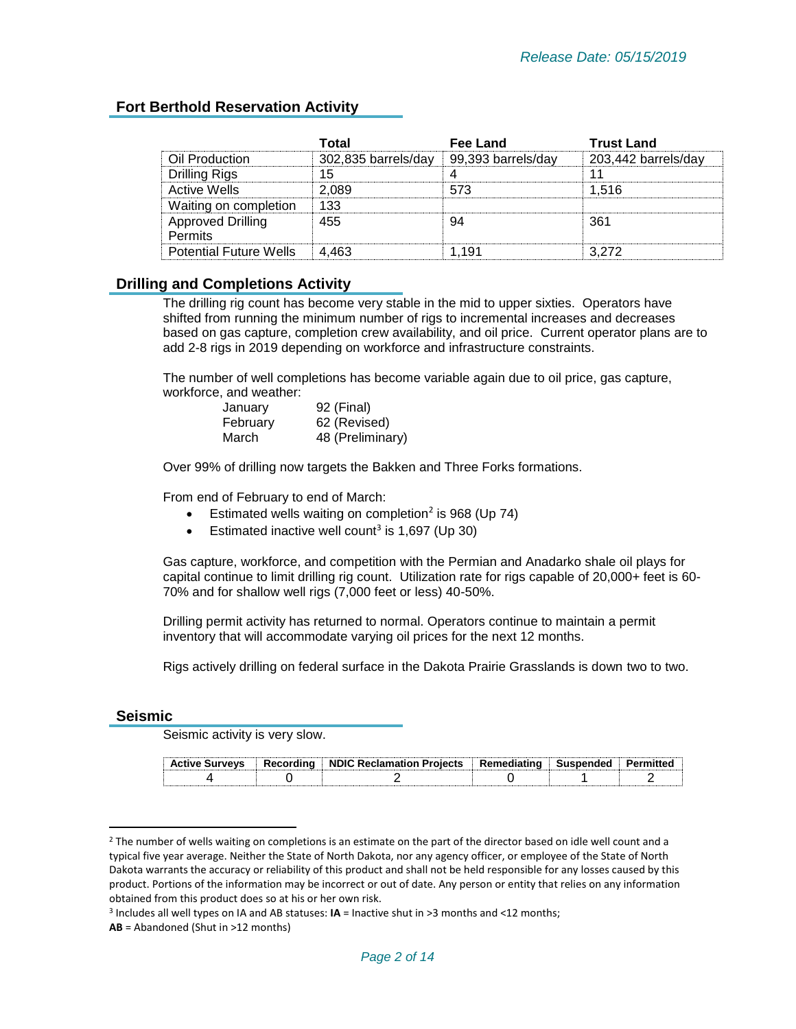#### **Fort Berthold Reservation Activity**

|                                            | Total               | Fee Land           | <b>Trust Land</b>   |
|--------------------------------------------|---------------------|--------------------|---------------------|
| Oil Production                             | 302,835 barrels/day | 99,393 barrels/dav | 203,442 barrels/day |
| <b>Drilling Rigs</b>                       | 15                  |                    |                     |
| <b>Active Wells</b>                        | 2.089               | 573                | 1.516               |
| Waiting on completion                      | 133                 |                    |                     |
| <b>Approved Drilling</b><br><b>Permits</b> | 455                 |                    | 361                 |
| <b>Potential Future Wells</b>              | 4 463               | -191               | 3 272               |

#### **Drilling and Completions Activity**

The drilling rig count has become very stable in the mid to upper sixties. Operators have shifted from running the minimum number of rigs to incremental increases and decreases based on gas capture, completion crew availability, and oil price. Current operator plans are to add 2-8 rigs in 2019 depending on workforce and infrastructure constraints.

The number of well completions has become variable again due to oil price, gas capture, workforce, and weather:

| January  | 92 (Final)       |
|----------|------------------|
| February | 62 (Revised)     |
| March    | 48 (Preliminary) |

Over 99% of drilling now targets the Bakken and Three Forks formations.

From end of February to end of March:

- **•** Estimated wells waiting on completion<sup>2</sup> is 968 (Up 74)
- **•** Estimated inactive well count<sup>3</sup> is 1,697 (Up 30)

Gas capture, workforce, and competition with the Permian and Anadarko shale oil plays for capital continue to limit drilling rig count. Utilization rate for rigs capable of 20,000+ feet is 60- 70% and for shallow well rigs (7,000 feet or less) 40-50%.

Drilling permit activity has returned to normal. Operators continue to maintain a permit inventory that will accommodate varying oil prices for the next 12 months.

Rigs actively drilling on federal surface in the Dakota Prairie Grasslands is down two to two.

#### **Seismic**

 $\overline{\phantom{a}}$ 

Seismic activity is very slow.

| <br><b>B.</b> | Recordina<br>- | <b>NDIC Reclamation</b><br><b>Projects</b> | <b>Ramor</b> | Susnendeo |  |
|---------------|----------------|--------------------------------------------|--------------|-----------|--|
|               |                |                                            |              |           |  |

 $2$  The number of wells waiting on completions is an estimate on the part of the director based on idle well count and a typical five year average. Neither the State of North Dakota, nor any agency officer, or employee of the State of North Dakota warrants the accuracy or reliability of this product and shall not be held responsible for any losses caused by this product. Portions of the information may be incorrect or out of date. Any person or entity that relies on any information obtained from this product does so at his or her own risk.

<sup>3</sup> Includes all well types on IA and AB statuses: **IA** = Inactive shut in >3 months and <12 months;

**AB** = Abandoned (Shut in >12 months)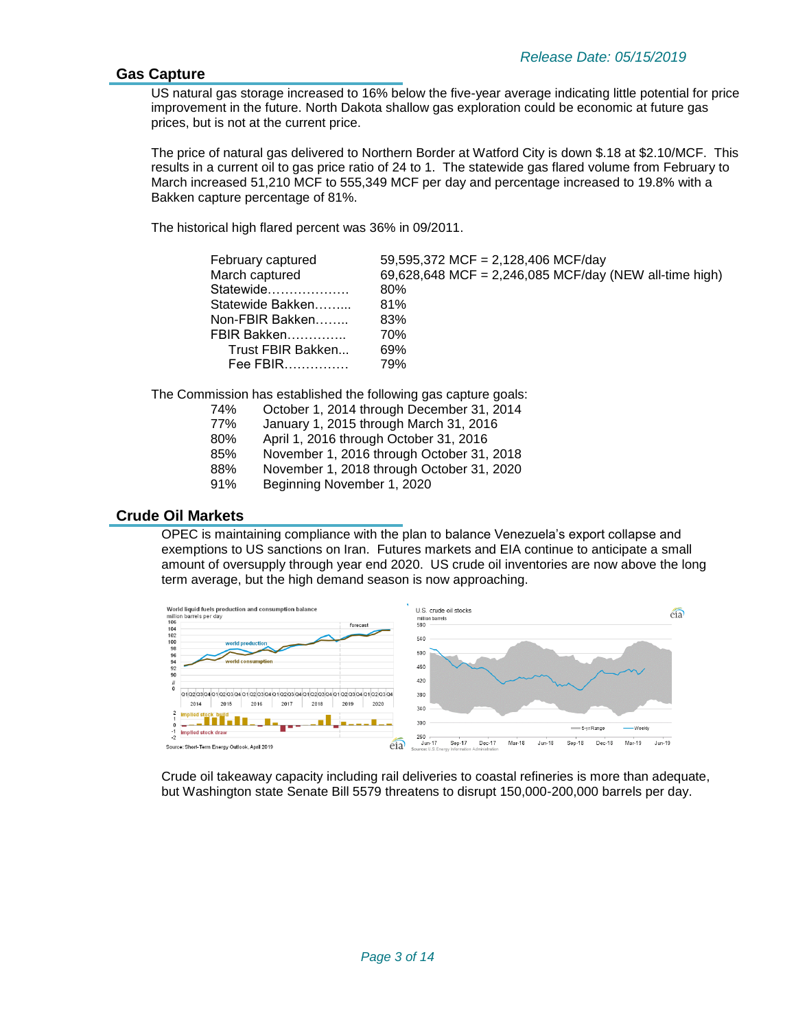#### **Gas Capture**

US natural gas storage increased to 16% below the five-year average indicating little potential for price improvement in the future. North Dakota shallow gas exploration could be economic at future gas prices, but is not at the current price.

The price of natural gas delivered to Northern Border at Watford City is down \$.18 at \$2.10/MCF. This results in a current oil to gas price ratio of 24 to 1. The statewide gas flared volume from February to March increased 51,210 MCF to 555,349 MCF per day and percentage increased to 19.8% with a Bakken capture percentage of 81%.

The historical high flared percent was 36% in 09/2011.

| February captured | 59,595,372 MCF = 2,128,406 MCF/day                     |
|-------------------|--------------------------------------------------------|
| March captured    | 69,628,648 MCF = 2,246,085 MCF/day (NEW all-time high) |
| Statewide         | 80%                                                    |
| Statewide Bakken  | 81%                                                    |
| Non-FBIR Bakken   | 83%                                                    |
| FBIR Bakken       | 70%                                                    |
| Trust FBIR Bakken | 69%                                                    |
| Fee FBIR          | 79%                                                    |
|                   |                                                        |

The Commission has established the following gas capture goals:

| 74% |  |  | October 1, 2014 through December 31, 2014 |  |
|-----|--|--|-------------------------------------------|--|
|-----|--|--|-------------------------------------------|--|

- 77% January 1, 2015 through March 31, 2016
- 80% April 1, 2016 through October 31, 2016
- 85% November 1, 2016 through October 31, 2018
- 88% November 1, 2018 through October 31, 2020
- 91% Beginning November 1, 2020

#### **Crude Oil Markets**

OPEC is maintaining compliance with the plan to balance Venezuela's export collapse and exemptions to US sanctions on Iran. Futures markets and EIA continue to anticipate a small amount of oversupply through year end 2020. US crude oil inventories are now above the long term average, but the high demand season is now approaching.



Crude oil takeaway capacity including rail deliveries to coastal refineries is more than adequate, but Washington state Senate Bill 5579 threatens to disrupt 150,000-200,000 barrels per day.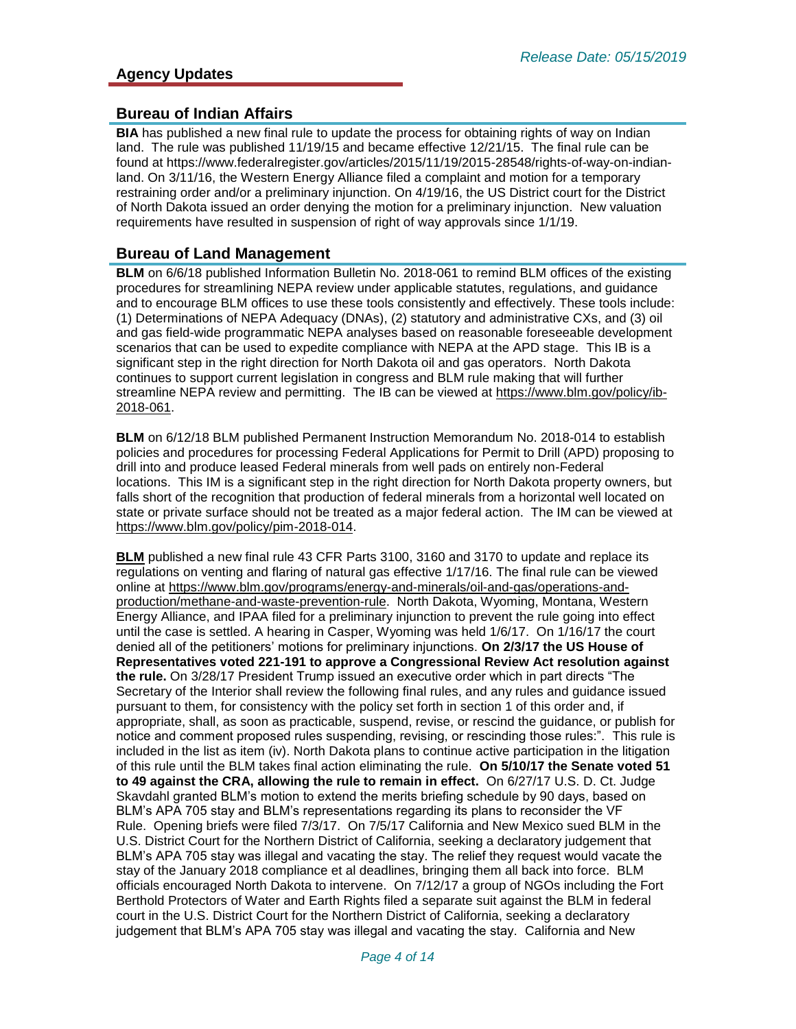#### **Bureau of Indian Affairs**

**BIA** has published a new final rule to update the process for obtaining rights of way on Indian land. The rule was published 11/19/15 and became effective 12/21/15. The final rule can be found at https://www.federalregister.gov/articles/2015/11/19/2015-28548/rights-of-way-on-indianland. On 3/11/16, the Western Energy Alliance filed a complaint and motion for a temporary restraining order and/or a preliminary injunction. On 4/19/16, the US District court for the District of North Dakota issued an order denying the motion for a preliminary injunction. New valuation requirements have resulted in suspension of right of way approvals since 1/1/19.

#### **Bureau of Land Management**

**BLM** on 6/6/18 published Information Bulletin No. 2018-061 to remind BLM offices of the existing procedures for streamlining NEPA review under applicable statutes, regulations, and guidance and to encourage BLM offices to use these tools consistently and effectively. These tools include: (1) Determinations of NEPA Adequacy (DNAs), (2) statutory and administrative CXs, and (3) oil and gas field-wide programmatic NEPA analyses based on reasonable foreseeable development scenarios that can be used to expedite compliance with NEPA at the APD stage. This IB is a significant step in the right direction for North Dakota oil and gas operators. North Dakota continues to support current legislation in congress and BLM rule making that will further streamline NEPA review and permitting. The IB can be viewed at [https://www.blm.gov/policy/ib-](https://www.blm.gov/policy/ib-2018-061)[2018-061.](https://www.blm.gov/policy/ib-2018-061)

**BLM** on 6/12/18 BLM published Permanent Instruction Memorandum No. 2018-014 to establish policies and procedures for processing Federal Applications for Permit to Drill (APD) proposing to drill into and produce leased Federal minerals from well pads on entirely non-Federal locations. This IM is a significant step in the right direction for North Dakota property owners, but falls short of the recognition that production of federal minerals from a horizontal well located on state or private surface should not be treated as a major federal action. The IM can be viewed at [https://www.blm.gov/policy/pim-2018-014.](https://www.blm.gov/policy/pim-2018-014)

**BLM** published a new final rule 43 CFR Parts 3100, 3160 and 3170 to update and replace its regulations on venting and flaring of natural gas effective 1/17/16. The final rule can be viewed online at [https://www.blm.gov/programs/energy-and-minerals/oil-and-gas/operations-and](https://www.blm.gov/programs/energy-and-minerals/oil-and-gas/operations-and-production/methane-and-waste-prevention-rule)[production/methane-and-waste-prevention-rule.](https://www.blm.gov/programs/energy-and-minerals/oil-and-gas/operations-and-production/methane-and-waste-prevention-rule) North Dakota, Wyoming, Montana, Western Energy Alliance, and IPAA filed for a preliminary injunction to prevent the rule going into effect until the case is settled. A hearing in Casper, Wyoming was held 1/6/17. On 1/16/17 the court denied all of the petitioners' motions for preliminary injunctions. **On 2/3/17 the US House of Representatives voted 221-191 to approve a Congressional Review Act resolution against the rule.** On 3/28/17 President Trump issued an executive order which in part directs "The Secretary of the Interior shall review the following final rules, and any rules and guidance issued pursuant to them, for consistency with the policy set forth in section 1 of this order and, if appropriate, shall, as soon as practicable, suspend, revise, or rescind the guidance, or publish for notice and comment proposed rules suspending, revising, or rescinding those rules:". This rule is included in the list as item (iv). North Dakota plans to continue active participation in the litigation of this rule until the BLM takes final action eliminating the rule. **On 5/10/17 the Senate voted 51 to 49 against the CRA, allowing the rule to remain in effect.** On 6/27/17 U.S. D. Ct. Judge Skavdahl granted BLM's motion to extend the merits briefing schedule by 90 days, based on BLM's APA 705 stay and BLM's representations regarding its plans to reconsider the VF Rule. Opening briefs were filed 7/3/17. On 7/5/17 California and New Mexico sued BLM in the U.S. District Court for the Northern District of California, seeking a declaratory judgement that BLM's APA 705 stay was illegal and vacating the stay. The relief they request would vacate the stay of the January 2018 compliance et al deadlines, bringing them all back into force. BLM officials encouraged North Dakota to intervene. On 7/12/17 a group of NGOs including the Fort Berthold Protectors of Water and Earth Rights filed a separate suit against the BLM in federal court in the U.S. District Court for the Northern District of California, seeking a declaratory judgement that BLM's APA 705 stay was illegal and vacating the stay. California and New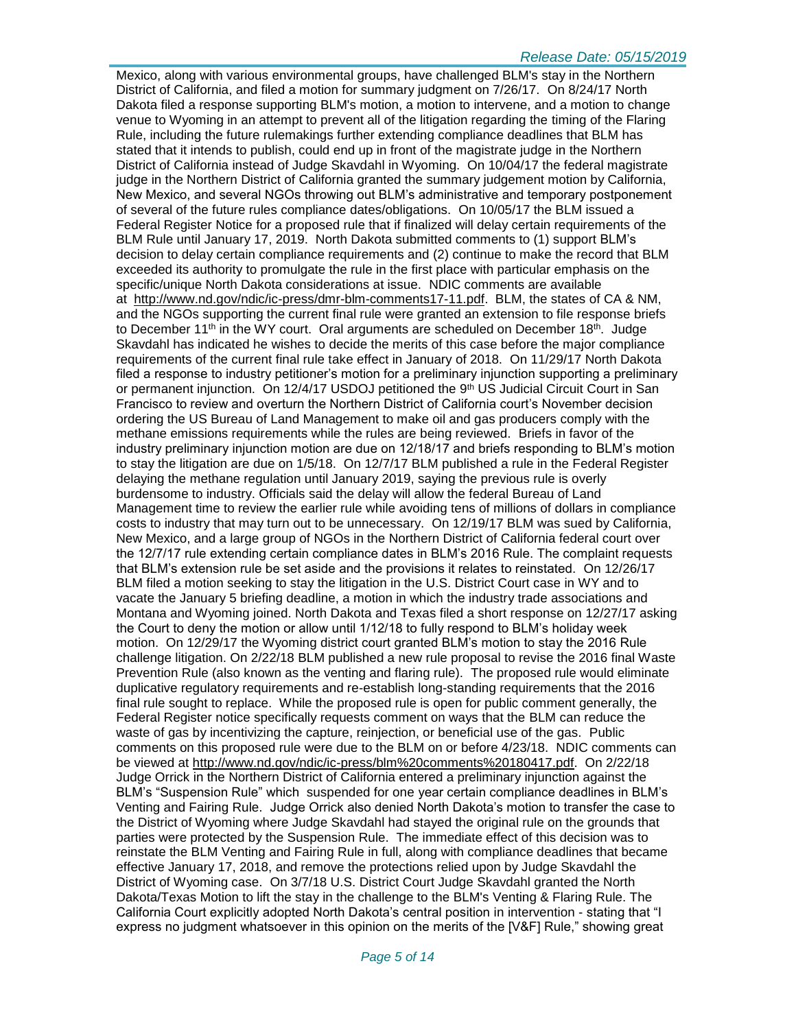#### *Release Date: 05/15/2019*

Mexico, along with various environmental groups, have challenged BLM's stay in the Northern District of California, and filed a motion for summary judgment on 7/26/17. On 8/24/17 North Dakota filed a response supporting BLM's motion, a motion to intervene, and a motion to change venue to Wyoming in an attempt to prevent all of the litigation regarding the timing of the Flaring Rule, including the future rulemakings further extending compliance deadlines that BLM has stated that it intends to publish, could end up in front of the magistrate judge in the Northern District of California instead of Judge Skavdahl in Wyoming. On 10/04/17 the federal magistrate judge in the Northern District of California granted the summary judgement motion by California, New Mexico, and several NGOs throwing out BLM's administrative and temporary postponement of several of the future rules compliance dates/obligations. On 10/05/17 the BLM issued a Federal Register Notice for a proposed rule that if finalized will delay certain requirements of the BLM Rule until January 17, 2019. North Dakota submitted comments to (1) support BLM's decision to delay certain compliance requirements and (2) continue to make the record that BLM exceeded its authority to promulgate the rule in the first place with particular emphasis on the specific/unique North Dakota considerations at issue. NDIC comments are available at [http://www.nd.gov/ndic/ic-press/dmr-blm-comments17-11.pdf.](http://www.nd.gov/ndic/ic-press/dmr-blm-comments17-11.pdf) BLM, the states of CA & NM, and the NGOs supporting the current final rule were granted an extension to file response briefs to December 11<sup>th</sup> in the WY court. Oral arguments are scheduled on December 18<sup>th</sup>. Judge Skavdahl has indicated he wishes to decide the merits of this case before the major compliance requirements of the current final rule take effect in January of 2018. On 11/29/17 North Dakota filed a response to industry petitioner's motion for a preliminary injunction supporting a preliminary or permanent injunction. On 12/4/17 USDOJ petitioned the 9<sup>th</sup> US Judicial Circuit Court in San Francisco to review and overturn the Northern District of California court's November decision ordering the US Bureau of Land Management to make oil and gas producers comply with the methane emissions requirements while the rules are being reviewed. Briefs in favor of the industry preliminary injunction motion are due on 12/18/17 and briefs responding to BLM's motion to stay the litigation are due on 1/5/18. On 12/7/17 BLM published a rule in the Federal Register delaying the methane regulation until January 2019, saying the previous rule is overly burdensome to industry. Officials said the delay will allow the federal Bureau of Land Management time to review the earlier rule while avoiding tens of millions of dollars in compliance costs to industry that may turn out to be unnecessary. On 12/19/17 BLM was sued by California, New Mexico, and a large group of NGOs in the Northern District of California federal court over the 12/7/17 rule extending certain compliance dates in BLM's 2016 Rule. The complaint requests that BLM's extension rule be set aside and the provisions it relates to reinstated. On 12/26/17 BLM filed a motion seeking to stay the litigation in the U.S. District Court case in WY and to vacate the January 5 briefing deadline, a motion in which the industry trade associations and Montana and Wyoming joined. North Dakota and Texas filed a short response on 12/27/17 asking the Court to deny the motion or allow until 1/12/18 to fully respond to BLM's holiday week motion. On 12/29/17 the Wyoming district court granted BLM's motion to stay the 2016 Rule challenge litigation. On 2/22/18 BLM published a new rule proposal to revise the 2016 final Waste Prevention Rule (also known as the venting and flaring rule). The proposed rule would eliminate duplicative regulatory requirements and re-establish long-standing requirements that the 2016 final rule sought to replace. While the proposed rule is open for public comment generally, the Federal Register notice specifically requests comment on ways that the BLM can reduce the waste of gas by incentivizing the capture, reinjection, or beneficial use of the gas. Public comments on this proposed rule were due to the BLM on or before 4/23/18. NDIC comments can be viewed at [http://www.nd.gov/ndic/ic-press/blm%20comments%20180417.pdf.](http://www.nd.gov/ndic/ic-press/blm%20comments%20180417.pdf) On 2/22/18 Judge Orrick in the Northern District of California entered a preliminary injunction against the BLM's "Suspension Rule" which suspended for one year certain compliance deadlines in BLM's Venting and Fairing Rule. Judge Orrick also denied North Dakota's motion to transfer the case to the District of Wyoming where Judge Skavdahl had stayed the original rule on the grounds that parties were protected by the Suspension Rule. The immediate effect of this decision was to reinstate the BLM Venting and Fairing Rule in full, along with compliance deadlines that became effective January 17, 2018, and remove the protections relied upon by Judge Skavdahl the District of Wyoming case. On 3/7/18 U.S. District Court Judge Skavdahl granted the North Dakota/Texas Motion to lift the stay in the challenge to the BLM's Venting & Flaring Rule. The California Court explicitly adopted North Dakota's central position in intervention - stating that "I express no judgment whatsoever in this opinion on the merits of the [V&F] Rule," showing great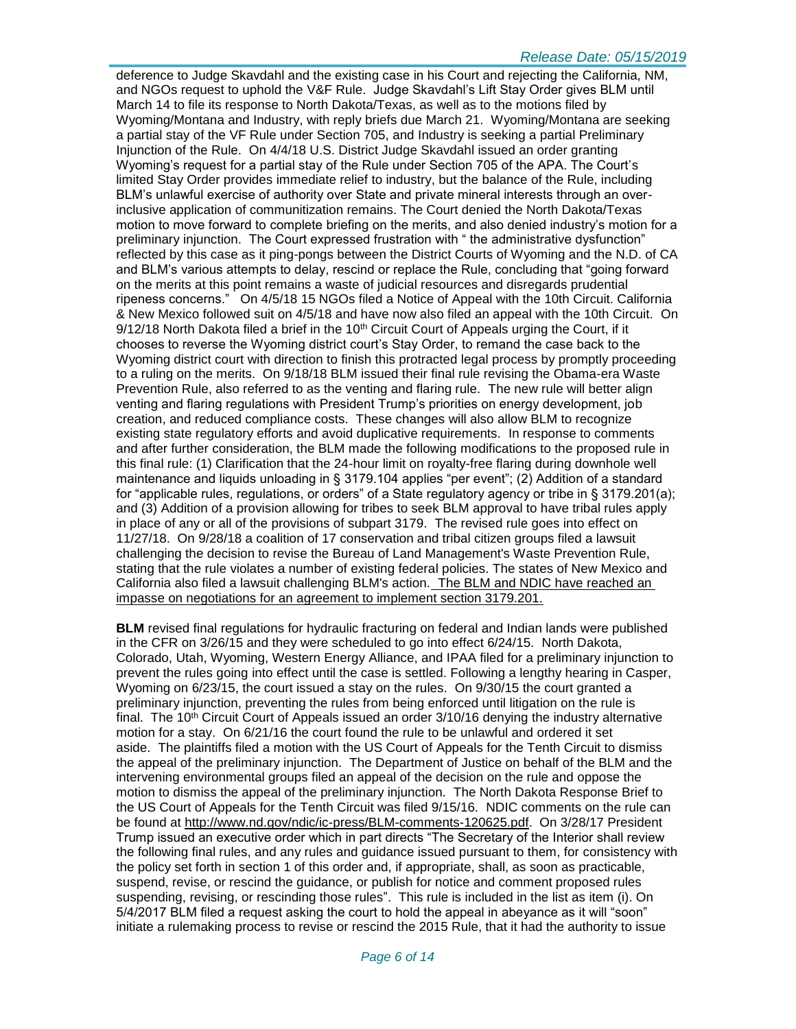deference to Judge Skavdahl and the existing case in his Court and rejecting the California, NM, and NGOs request to uphold the V&F Rule. Judge Skavdahl's Lift Stay Order gives BLM until March 14 to file its response to North Dakota/Texas, as well as to the motions filed by Wyoming/Montana and Industry, with reply briefs due March 21. Wyoming/Montana are seeking a partial stay of the VF Rule under Section 705, and Industry is seeking a partial Preliminary Injunction of the Rule. On 4/4/18 U.S. District Judge Skavdahl issued an order granting Wyoming's request for a partial stay of the Rule under Section 705 of the APA. The Court's limited Stay Order provides immediate relief to industry, but the balance of the Rule, including BLM's unlawful exercise of authority over State and private mineral interests through an overinclusive application of communitization remains. The Court denied the North Dakota/Texas motion to move forward to complete briefing on the merits, and also denied industry's motion for a preliminary injunction. The Court expressed frustration with " the administrative dysfunction" reflected by this case as it ping-pongs between the District Courts of Wyoming and the N.D. of CA and BLM's various attempts to delay, rescind or replace the Rule, concluding that "going forward on the merits at this point remains a waste of judicial resources and disregards prudential ripeness concerns." On 4/5/18 15 NGOs filed a Notice of Appeal with the 10th Circuit. California & New Mexico followed suit on 4/5/18 and have now also filed an appeal with the 10th Circuit. On  $9/12/18$  North Dakota filed a brief in the 10<sup>th</sup> Circuit Court of Appeals urging the Court, if it chooses to reverse the Wyoming district court's Stay Order, to remand the case back to the Wyoming district court with direction to finish this protracted legal process by promptly proceeding to a ruling on the merits. On 9/18/18 BLM issued their final rule revising the Obama-era Waste Prevention Rule, also referred to as the venting and flaring rule. The new rule will better align venting and flaring regulations with President Trump's priorities on energy development, job creation, and reduced compliance costs. These changes will also allow BLM to recognize existing state regulatory efforts and avoid duplicative requirements. In response to comments and after further consideration, the BLM made the following modifications to the proposed rule in this final rule: (1) Clarification that the 24-hour limit on royalty-free flaring during downhole well maintenance and liquids unloading in § 3179.104 applies "per event"; (2) Addition of a standard for "applicable rules, regulations, or orders" of a State regulatory agency or tribe in § 3179.201(a); and (3) Addition of a provision allowing for tribes to seek BLM approval to have tribal rules apply in place of any or all of the provisions of subpart 3179. The revised rule goes into effect on 11/27/18. On 9/28/18 a coalition of 17 conservation and tribal citizen groups filed a lawsuit challenging the decision to revise the Bureau of Land Management's Waste Prevention Rule, stating that the rule violates a number of existing federal policies. The states of New Mexico and California also filed a lawsuit challenging BLM's action. The BLM and NDIC have reached an impasse on negotiations for an agreement to implement section 3179.201.

**BLM** revised final regulations for hydraulic fracturing on federal and Indian lands were published in the CFR on 3/26/15 and they were scheduled to go into effect 6/24/15. North Dakota, Colorado, Utah, Wyoming, Western Energy Alliance, and IPAA filed for a preliminary injunction to prevent the rules going into effect until the case is settled. Following a lengthy hearing in Casper, Wyoming on 6/23/15, the court issued a stay on the rules. On 9/30/15 the court granted a preliminary injunction, preventing the rules from being enforced until litigation on the rule is final. The 10<sup>th</sup> Circuit Court of Appeals issued an order  $3/10/16$  denying the industry alternative motion for a stay. On 6/21/16 the court found the rule to be unlawful and ordered it set aside. The plaintiffs filed a motion with the US Court of Appeals for the Tenth Circuit to dismiss the appeal of the preliminary injunction. The Department of Justice on behalf of the BLM and the intervening environmental groups filed an appeal of the decision on the rule and oppose the motion to dismiss the appeal of the preliminary injunction. The North Dakota Response Brief to the US Court of Appeals for the Tenth Circuit was filed 9/15/16. NDIC comments on the rule can be found at [http://www.nd.gov/ndic/ic-press/BLM-comments-120625.pdf.](http://www.nd.gov/ndic/ic-press/BLM-comments-120625.pdf) On 3/28/17 President Trump issued an executive order which in part directs "The Secretary of the Interior shall review the following final rules, and any rules and guidance issued pursuant to them, for consistency with the policy set forth in section 1 of this order and, if appropriate, shall, as soon as practicable, suspend, revise, or rescind the guidance, or publish for notice and comment proposed rules suspending, revising, or rescinding those rules". This rule is included in the list as item (i). On 5/4/2017 BLM filed a request asking the court to hold the appeal in abeyance as it will "soon" initiate a rulemaking process to revise or rescind the 2015 Rule, that it had the authority to issue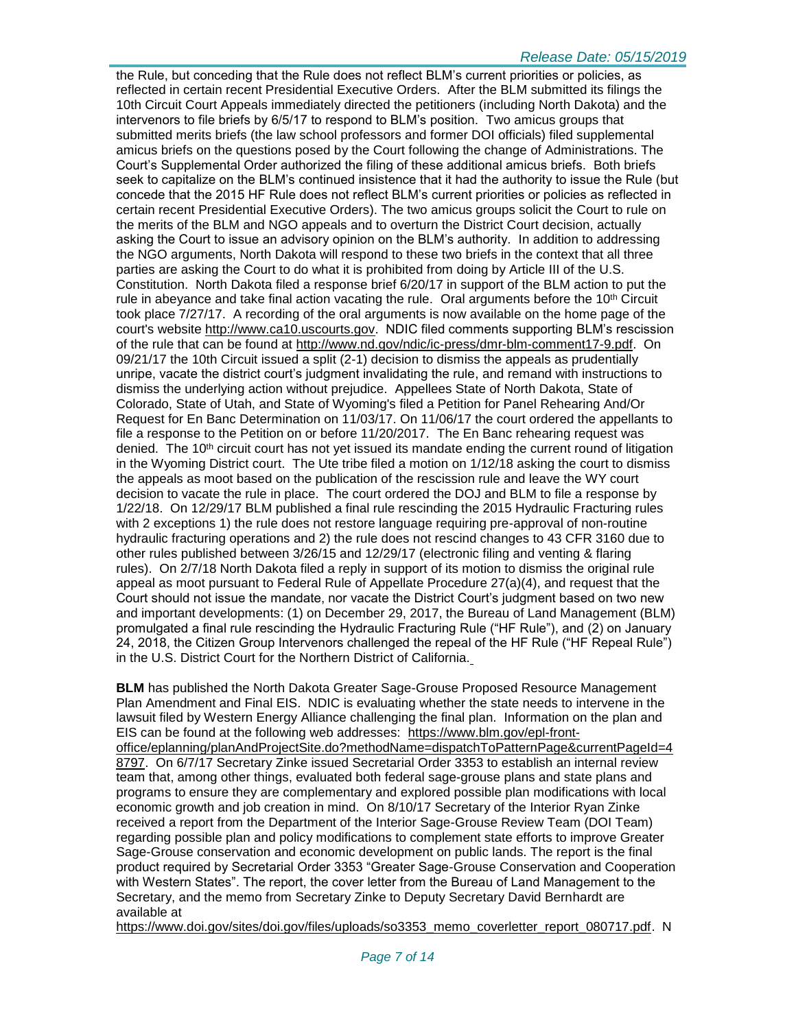the Rule, but conceding that the Rule does not reflect BLM's current priorities or policies, as reflected in certain recent Presidential Executive Orders. After the BLM submitted its filings the 10th Circuit Court Appeals immediately directed the petitioners (including North Dakota) and the intervenors to file briefs by 6/5/17 to respond to BLM's position. Two amicus groups that submitted merits briefs (the law school professors and former DOI officials) filed supplemental amicus briefs on the questions posed by the Court following the change of Administrations. The Court's Supplemental Order authorized the filing of these additional amicus briefs. Both briefs seek to capitalize on the BLM's continued insistence that it had the authority to issue the Rule (but concede that the 2015 HF Rule does not reflect BLM's current priorities or policies as reflected in certain recent Presidential Executive Orders). The two amicus groups solicit the Court to rule on the merits of the BLM and NGO appeals and to overturn the District Court decision, actually asking the Court to issue an advisory opinion on the BLM's authority. In addition to addressing the NGO arguments, North Dakota will respond to these two briefs in the context that all three parties are asking the Court to do what it is prohibited from doing by Article III of the U.S. Constitution. North Dakota filed a response brief 6/20/17 in support of the BLM action to put the rule in abeyance and take final action vacating the rule. Oral arguments before the  $10<sup>th</sup>$  Circuit took place 7/27/17. A recording of the oral arguments is now available on the home page of the court's website [http://www.ca10.uscourts.gov.](https://urldefense.proofpoint.com/v2/url?u=http-3A__www.ca10.uscourts.gov&d=DwMGaQ&c=2s2mvbfY0UoSKkl6_Ol9wg&r=-wqsZnBxny594KY8HeElow&m=Ul_VtJUX6iW5pvHjCcBxUWtskC0F4Dhry3sPtcEHvCw&s=laRHiLDv5w8otcQWQjpn82WMieoB2AZ-Q4M1LFQPL5s&e=) NDIC filed comments supporting BLM's rescission of the rule that can be found at [http://www.nd.gov/ndic/ic-press/dmr-blm-comment17-9.pdf.](http://www.nd.gov/ndic/ic-press/dmr-blm-comment17-9.pdf) On 09/21/17 the 10th Circuit issued a split (2-1) decision to dismiss the appeals as prudentially unripe, vacate the district court's judgment invalidating the rule, and remand with instructions to dismiss the underlying action without prejudice. Appellees State of North Dakota, State of Colorado, State of Utah, and State of Wyoming's filed a Petition for Panel Rehearing And/Or Request for En Banc Determination on 11/03/17. On 11/06/17 the court ordered the appellants to file a response to the Petition on or before 11/20/2017. The En Banc rehearing request was denied. The  $10<sup>th</sup>$  circuit court has not yet issued its mandate ending the current round of litigation in the Wyoming District court. The Ute tribe filed a motion on 1/12/18 asking the court to dismiss the appeals as moot based on the publication of the rescission rule and leave the WY court decision to vacate the rule in place. The court ordered the DOJ and BLM to file a response by 1/22/18. On 12/29/17 BLM published a final rule rescinding the 2015 Hydraulic Fracturing rules with 2 exceptions 1) the rule does not restore language requiring pre-approval of non-routine hydraulic fracturing operations and 2) the rule does not rescind changes to 43 CFR 3160 due to other rules published between 3/26/15 and 12/29/17 (electronic filing and venting & flaring rules). On 2/7/18 North Dakota filed a reply in support of its motion to dismiss the original rule appeal as moot pursuant to Federal Rule of Appellate Procedure 27(a)(4), and request that the Court should not issue the mandate, nor vacate the District Court's judgment based on two new and important developments: (1) on December 29, 2017, the Bureau of Land Management (BLM) promulgated a final rule rescinding the Hydraulic Fracturing Rule ("HF Rule"), and (2) on January 24, 2018, the Citizen Group Intervenors challenged the repeal of the HF Rule ("HF Repeal Rule") in the U.S. District Court for the Northern District of California.

**BLM** has published the North Dakota Greater Sage-Grouse Proposed Resource Management Plan Amendment and Final EIS. NDIC is evaluating whether the state needs to intervene in the lawsuit filed by Western Energy Alliance challenging the final plan. Information on the plan and EIS can be found at the following web addresses: [https://www.blm.gov/epl-front](https://www.blm.gov/epl-front-office/eplanning/planAndProjectSite.do?methodName=dispatchToPatternPage¤tPageId=48797)[office/eplanning/planAndProjectSite.do?methodName=dispatchToPatternPage&currentPageId=4](https://www.blm.gov/epl-front-office/eplanning/planAndProjectSite.do?methodName=dispatchToPatternPage¤tPageId=48797) [8797.](https://www.blm.gov/epl-front-office/eplanning/planAndProjectSite.do?methodName=dispatchToPatternPage¤tPageId=48797) On 6/7/17 Secretary Zinke issued Secretarial Order 3353 to establish an internal review team that, among other things, evaluated both federal sage-grouse plans and state plans and programs to ensure they are complementary and explored possible plan modifications with local economic growth and job creation in mind. On 8/10/17 Secretary of the Interior Ryan Zinke received a report from the Department of the Interior Sage-Grouse Review Team (DOI Team) regarding possible plan and policy modifications to complement state efforts to improve Greater Sage-Grouse conservation and economic development on public lands. The report is the final product required by Secretarial Order 3353 "Greater Sage-Grouse Conservation and Cooperation with Western States". The report, the cover letter from the Bureau of Land Management to the Secretary, and the memo from Secretary Zinke to Deputy Secretary David Bernhardt are available at

https://www.doi.gov/sites/doi.gov/files/uploads/so3353 memo\_coverletter\_report\_080717.pdf. N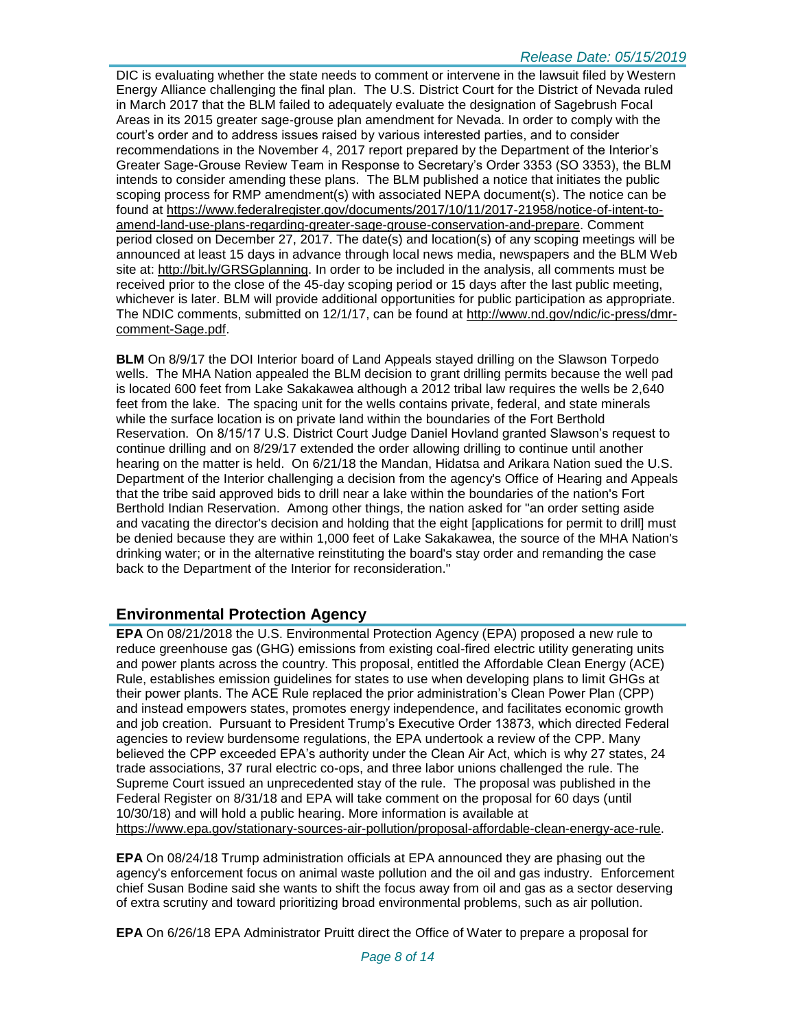DIC is evaluating whether the state needs to comment or intervene in the lawsuit filed by Western Energy Alliance challenging the final plan. The U.S. District Court for the District of Nevada ruled in March 2017 that the BLM failed to adequately evaluate the designation of Sagebrush Focal Areas in its 2015 greater sage-grouse plan amendment for Nevada. In order to comply with the court's order and to address issues raised by various interested parties, and to consider recommendations in the November 4, 2017 report prepared by the Department of the Interior's Greater Sage-Grouse Review Team in Response to Secretary's Order 3353 (SO 3353), the BLM intends to consider amending these plans. The BLM published a notice that initiates the public scoping process for RMP amendment(s) with associated NEPA document(s). The notice can be found at [https://www.federalregister.gov/documents/2017/10/11/2017-21958/notice-of-intent-to](https://www.federalregister.gov/documents/2017/10/11/2017-21958/notice-of-intent-to-amend-land-use-plans-regarding-greater-sage-grouse-conservation-and-prepare)[amend-land-use-plans-regarding-greater-sage-grouse-conservation-and-prepare.](https://www.federalregister.gov/documents/2017/10/11/2017-21958/notice-of-intent-to-amend-land-use-plans-regarding-greater-sage-grouse-conservation-and-prepare) Comment period closed on December 27, 2017. The date(s) and location(s) of any scoping meetings will be announced at least 15 days in advance through local news media, newspapers and the BLM Web site at: [http://bit.ly/GRSGplanning.](http://bit.ly/​GRSGplanning) In order to be included in the analysis, all comments must be received prior to the close of the 45-day scoping period or 15 days after the last public meeting, whichever is later. BLM will provide additional opportunities for public participation as appropriate. The NDIC comments, submitted on 12/1/17, can be found at [http://www.nd.gov/ndic/ic-press/dmr](http://www.nd.gov/ndic/ic-press/dmr-comment-Sage.pdf)[comment-Sage.pdf.](http://www.nd.gov/ndic/ic-press/dmr-comment-Sage.pdf)

**BLM** On 8/9/17 the DOI Interior board of Land Appeals stayed drilling on the Slawson Torpedo wells. The MHA Nation appealed the BLM decision to grant drilling permits because the well pad is located 600 feet from Lake Sakakawea although a 2012 tribal law requires the wells be 2,640 feet from the lake. The spacing unit for the wells contains private, federal, and state minerals while the surface location is on private land within the boundaries of the Fort Berthold Reservation. On 8/15/17 U.S. District Court Judge Daniel Hovland granted Slawson's request to continue drilling and on 8/29/17 extended the order allowing drilling to continue until another hearing on the matter is held. On 6/21/18 the Mandan, Hidatsa and Arikara Nation sued the U.S. Department of the Interior challenging a decision from the agency's Office of Hearing and Appeals that the tribe said approved bids to drill near a lake within the boundaries of the nation's Fort Berthold Indian Reservation. Among other things, the nation asked for "an order setting aside and vacating the director's decision and holding that the eight [applications for permit to drill] must be denied because they are within 1,000 feet of Lake Sakakawea, the source of the MHA Nation's drinking water; or in the alternative reinstituting the board's stay order and remanding the case back to the Department of the Interior for reconsideration."

# **Environmental Protection Agency**

**EPA** On 08/21/2018 the U.S. Environmental Protection Agency (EPA) proposed a new rule to reduce greenhouse gas (GHG) emissions from existing coal-fired electric utility generating units and power plants across the country. This proposal, entitled the Affordable Clean Energy (ACE) Rule, establishes emission guidelines for states to use when developing plans to limit GHGs at their power plants. The ACE Rule replaced the prior administration's Clean Power Plan (CPP) and instead empowers states, promotes energy independence, and facilitates economic growth and job creation. Pursuant to President Trump's Executive Order 13873, which directed Federal agencies to review burdensome regulations, the EPA undertook a review of the CPP. Many believed the CPP exceeded EPA's authority under the Clean Air Act, which is why 27 states, 24 trade associations, 37 rural electric co-ops, and three labor unions challenged the rule. The Supreme Court issued an unprecedented stay of the rule. The proposal was published in the Federal Register on 8/31/18 and EPA will take comment on the proposal for 60 days (until 10/30/18) and will hold a public hearing. More information is available at [https://www.epa.gov/stationary-sources-air-pollution/proposal-affordable-clean-energy-ace-rule.](https://www.epa.gov/stationary-sources-air-pollution/proposal-affordable-clean-energy-ace-rule)

**EPA** On 08/24/18 Trump administration officials at EPA announced they are phasing out the agency's enforcement focus on animal waste pollution and the oil and gas industry. Enforcement chief Susan Bodine said she wants to shift the focus away from oil and gas as a sector deserving of extra scrutiny and toward prioritizing broad environmental problems, such as air pollution.

**EPA** On 6/26/18 EPA Administrator Pruitt direct the Office of Water to prepare a proposal for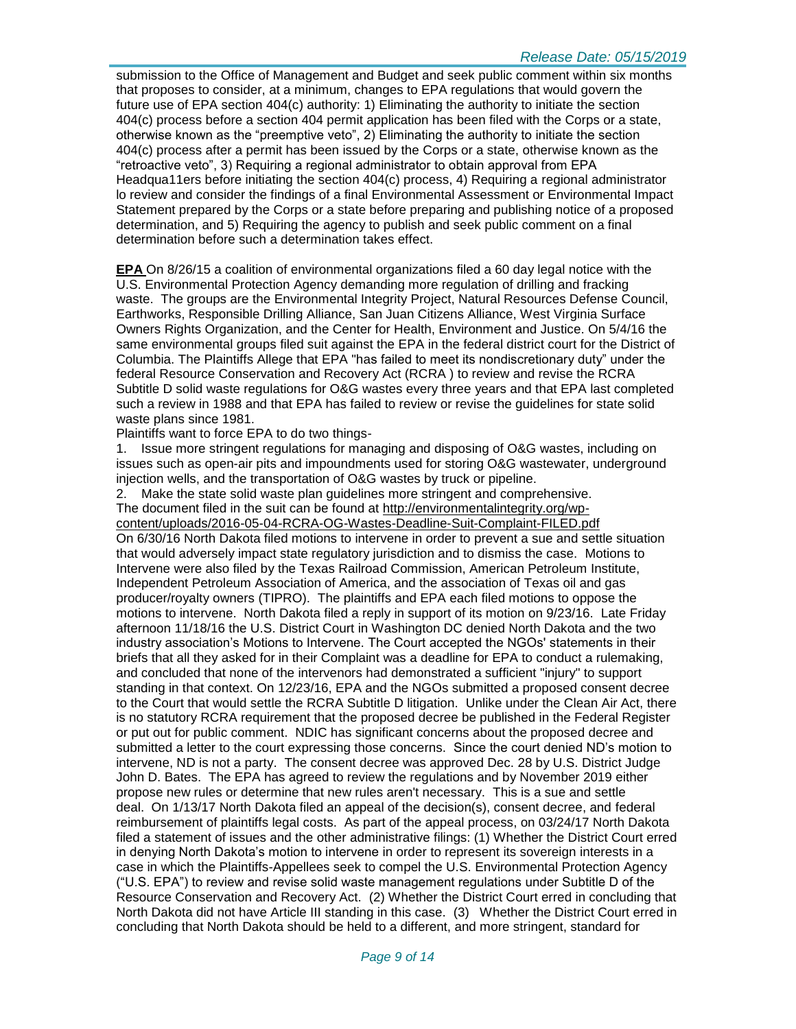submission to the Office of Management and Budget and seek public comment within six months that proposes to consider, at a minimum, changes to EPA regulations that would govern the future use of EPA section 404(c) authority: 1) Eliminating the authority to initiate the section 404(c) process before a section 404 permit application has been filed with the Corps or a state, otherwise known as the "preemptive veto", 2) Eliminating the authority to initiate the section 404(c) process after a permit has been issued by the Corps or a state, otherwise known as the "retroactive veto", 3) Requiring a regional administrator to obtain approval from EPA Headqua11ers before initiating the section 404(c) process, 4) Requiring a regional administrator lo review and consider the findings of a final Environmental Assessment or Environmental Impact Statement prepared by the Corps or a state before preparing and publishing notice of a proposed determination, and 5) Requiring the agency to publish and seek public comment on a final determination before such a determination takes effect.

**EPA** On 8/26/15 a coalition of environmental organizations filed a 60 day legal notice with the U.S. Environmental Protection Agency demanding more regulation of drilling and fracking waste. The groups are the Environmental Integrity Project, Natural Resources Defense Council, Earthworks, Responsible Drilling Alliance, San Juan Citizens Alliance, West Virginia Surface Owners Rights Organization, and the Center for Health, Environment and Justice. On 5/4/16 the same environmental groups filed suit against the EPA in the federal district court for the District of Columbia. The Plaintiffs Allege that EPA "has failed to meet its nondiscretionary duty" under the federal Resource Conservation and Recovery Act (RCRA ) to review and revise the RCRA Subtitle D solid waste regulations for O&G wastes every three years and that EPA last completed such a review in 1988 and that EPA has failed to review or revise the guidelines for state solid waste plans since 1981.

Plaintiffs want to force EPA to do two things-

1. Issue more stringent regulations for managing and disposing of O&G wastes, including on issues such as open-air pits and impoundments used for storing O&G wastewater, underground injection wells, and the transportation of O&G wastes by truck or pipeline.

2. Make the state solid waste plan guidelines more stringent and comprehensive. The document filed in the suit can be found at [http://environmentalintegrity.org/wp](http://environmentalintegrity.org/wp-content/uploads/2016-05-04-RCRA-OG-Wastes-Deadline-Suit-Complaint-FILED.pdf)[content/uploads/2016-05-04-RCRA-OG-Wastes-Deadline-Suit-Complaint-FILED.pdf](http://environmentalintegrity.org/wp-content/uploads/2016-05-04-RCRA-OG-Wastes-Deadline-Suit-Complaint-FILED.pdf) On 6/30/16 North Dakota filed motions to intervene in order to prevent a sue and settle situation that would adversely impact state regulatory jurisdiction and to dismiss the case. Motions to Intervene were also filed by the Texas Railroad Commission, American Petroleum Institute, Independent Petroleum Association of America, and the association of Texas oil and gas producer/royalty owners (TIPRO). The plaintiffs and EPA each filed motions to oppose the motions to intervene. North Dakota filed a reply in support of its motion on 9/23/16. Late Friday afternoon 11/18/16 the U.S. District Court in Washington DC denied North Dakota and the two industry association's Motions to Intervene. The Court accepted the NGOs' statements in their briefs that all they asked for in their Complaint was a deadline for EPA to conduct a rulemaking, and concluded that none of the intervenors had demonstrated a sufficient "injury" to support standing in that context. On 12/23/16, EPA and the NGOs submitted a proposed consent decree to the Court that would settle the RCRA Subtitle D litigation. Unlike under the Clean Air Act, there is no statutory RCRA requirement that the proposed decree be published in the Federal Register or put out for public comment. NDIC has significant concerns about the proposed decree and submitted a letter to the court expressing those concerns. Since the court denied ND's motion to intervene, ND is not a party. The consent decree was approved Dec. 28 by U.S. District Judge John D. Bates. The EPA has agreed to review the regulations and by November 2019 either propose new rules or determine that new rules aren't necessary. This is a sue and settle deal. On 1/13/17 North Dakota filed an appeal of the decision(s), consent decree, and federal reimbursement of plaintiffs legal costs. As part of the appeal process, on 03/24/17 North Dakota filed a statement of issues and the other administrative filings: (1) Whether the District Court erred in denying North Dakota's motion to intervene in order to represent its sovereign interests in a case in which the Plaintiffs-Appellees seek to compel the U.S. Environmental Protection Agency ("U.S. EPA") to review and revise solid waste management regulations under Subtitle D of the Resource Conservation and Recovery Act. (2) Whether the District Court erred in concluding that North Dakota did not have Article III standing in this case. (3) Whether the District Court erred in concluding that North Dakota should be held to a different, and more stringent, standard for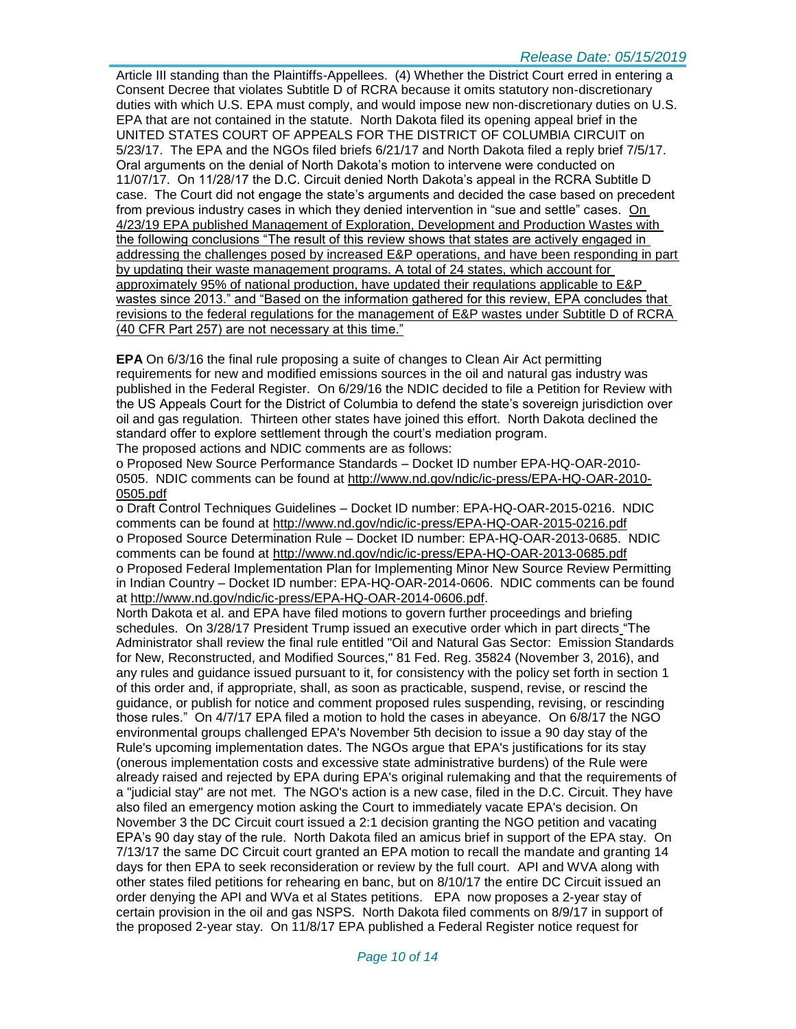Article III standing than the Plaintiffs-Appellees. (4) Whether the District Court erred in entering a Consent Decree that violates Subtitle D of RCRA because it omits statutory non-discretionary duties with which U.S. EPA must comply, and would impose new non-discretionary duties on U.S. EPA that are not contained in the statute. North Dakota filed its opening appeal brief in the UNITED STATES COURT OF APPEALS FOR THE DISTRICT OF COLUMBIA CIRCUIT on 5/23/17. The EPA and the NGOs filed briefs 6/21/17 and North Dakota filed a reply brief 7/5/17. Oral arguments on the denial of North Dakota's motion to intervene were conducted on 11/07/17. On 11/28/17 the D.C. Circuit denied North Dakota's appeal in the RCRA Subtitle D case. The Court did not engage the state's arguments and decided the case based on precedent from previous industry cases in which they denied intervention in "sue and settle" cases. On 4/23/19 EPA published Management of Exploration, Development and Production Wastes with the following conclusions "The result of this review shows that states are actively engaged in addressing the challenges posed by increased E&P operations, and have been responding in part by updating their waste management programs. A total of 24 states, which account for approximately 95% of national production, have updated their regulations applicable to E&P wastes since 2013." and "Based on the information gathered for this review, EPA concludes that revisions to the federal regulations for the management of E&P wastes under Subtitle D of RCRA (40 CFR Part 257) are not necessary at this time."

**EPA** On 6/3/16 the final rule proposing a suite of changes to Clean Air Act permitting requirements for new and modified emissions sources in the oil and natural gas industry was published in the Federal Register. On 6/29/16 the NDIC decided to file a Petition for Review with the US Appeals Court for the District of Columbia to defend the state's sovereign jurisdiction over oil and gas regulation. Thirteen other states have joined this effort. North Dakota declined the standard offer to explore settlement through the court's mediation program. The proposed actions and NDIC comments are as follows:

o Proposed New Source Performance Standards – Docket ID number EPA-HQ-OAR-2010- 0505. NDIC comments can be found at [http://www.nd.gov/ndic/ic-press/EPA-HQ-OAR-2010-](http://www.nd.gov/ndic/ic-press/EPA-HQ-OAR-2010-0505.pdf) [0505.pdf](http://www.nd.gov/ndic/ic-press/EPA-HQ-OAR-2010-0505.pdf)

o Draft Control Techniques Guidelines – Docket ID number: EPA-HQ-OAR-2015-0216. NDIC comments can be found at<http://www.nd.gov/ndic/ic-press/EPA-HQ-OAR-2015-0216.pdf> o Proposed Source Determination Rule – Docket ID number: EPA-HQ-OAR-2013-0685. NDIC comments can be found at<http://www.nd.gov/ndic/ic-press/EPA-HQ-OAR-2013-0685.pdf> o Proposed Federal Implementation Plan for Implementing Minor New Source Review Permitting in Indian Country – Docket ID number: EPA-HQ-OAR-2014-0606. NDIC comments can be found at [http://www.nd.gov/ndic/ic-press/EPA-HQ-OAR-2014-0606.pdf.](http://www.nd.gov/ndic/ic-press/EPA-HQ-OAR-2014-0606.pdf)

North Dakota et al. and EPA have filed motions to govern further proceedings and briefing schedules. On 3/28/17 President Trump issued an executive order which in part directs "The Administrator shall review the final rule entitled "Oil and Natural Gas Sector: Emission Standards for New, Reconstructed, and Modified Sources," 81 Fed. Reg. 35824 (November 3, 2016), and any rules and guidance issued pursuant to it, for consistency with the policy set forth in section 1 of this order and, if appropriate, shall, as soon as practicable, suspend, revise, or rescind the guidance, or publish for notice and comment proposed rules suspending, revising, or rescinding those rules." On 4/7/17 EPA filed a motion to hold the cases in abeyance. On 6/8/17 the NGO environmental groups challenged EPA's November 5th decision to issue a 90 day stay of the Rule's upcoming implementation dates. The NGOs argue that EPA's justifications for its stay (onerous implementation costs and excessive state administrative burdens) of the Rule were already raised and rejected by EPA during EPA's original rulemaking and that the requirements of a "judicial stay" are not met. The NGO's action is a new case, filed in the D.C. Circuit. They have also filed an emergency motion asking the Court to immediately vacate EPA's decision. On November 3 the DC Circuit court issued a 2:1 decision granting the NGO petition and vacating EPA's 90 day stay of the rule. North Dakota filed an amicus brief in support of the EPA stay. On 7/13/17 the same DC Circuit court granted an EPA motion to recall the mandate and granting 14 days for then EPA to seek reconsideration or review by the full court. API and WVA along with other states filed petitions for rehearing en banc, but on 8/10/17 the entire DC Circuit issued an order denying the API and WVa et al States petitions. EPA now proposes a 2-year stay of certain provision in the oil and gas NSPS. North Dakota filed comments on 8/9/17 in support of the proposed 2-year stay. On 11/8/17 EPA published a Federal Register notice request for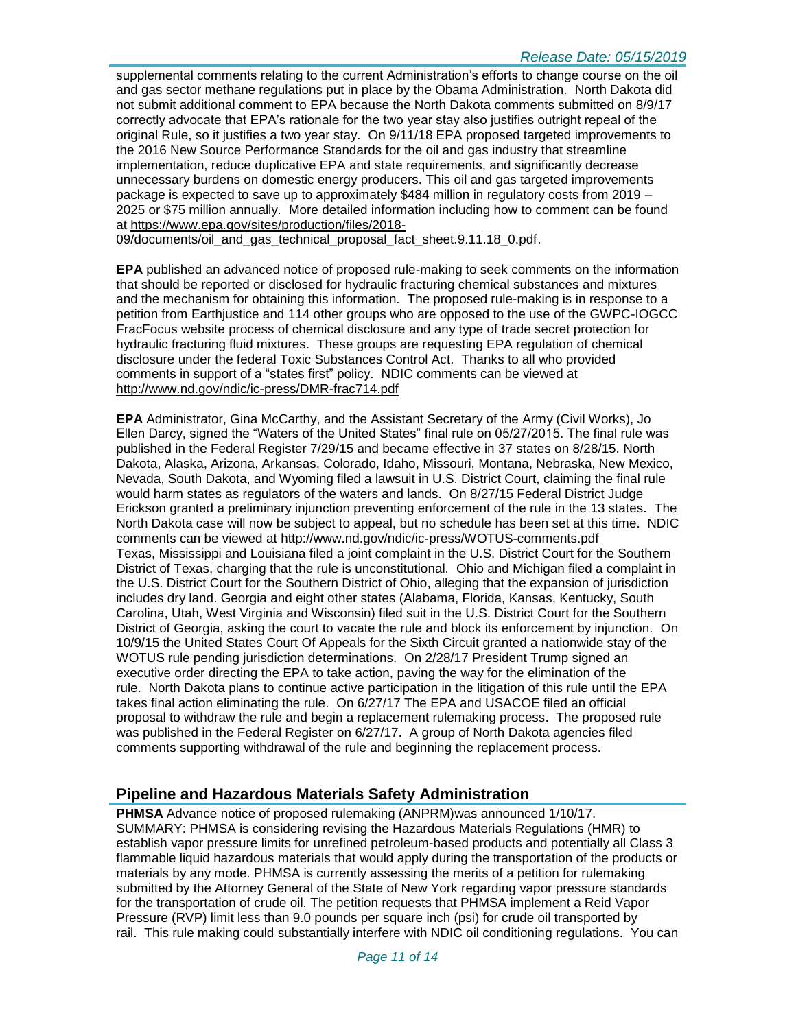supplemental comments relating to the current Administration's efforts to change course on the oil and gas sector methane regulations put in place by the Obama Administration. North Dakota did not submit additional comment to EPA because the North Dakota comments submitted on 8/9/17 correctly advocate that EPA's rationale for the two year stay also justifies outright repeal of the original Rule, so it justifies a two year stay. On 9/11/18 EPA proposed targeted improvements to the 2016 New Source Performance Standards for the oil and gas industry that streamline implementation, reduce duplicative EPA and state requirements, and significantly decrease unnecessary burdens on domestic energy producers. This oil and gas targeted improvements package is expected to save up to approximately \$484 million in regulatory costs from 2019 – 2025 or \$75 million annually. More detailed information including how to comment can be found at [https://www.epa.gov/sites/production/files/2018-](https://www.epa.gov/sites/production/files/2018-09/documents/oil_and_gas_technical_proposal_fact_sheet.9.11.18_0.pdf)

[09/documents/oil\\_and\\_gas\\_technical\\_proposal\\_fact\\_sheet.9.11.18\\_0.pdf.](https://www.epa.gov/sites/production/files/2018-09/documents/oil_and_gas_technical_proposal_fact_sheet.9.11.18_0.pdf)

**EPA** published an advanced notice of proposed rule-making to seek comments on the information that should be reported or disclosed for hydraulic fracturing chemical substances and mixtures and the mechanism for obtaining this information. The proposed rule-making is in response to a petition from Earthjustice and 114 other groups who are opposed to the use of the GWPC-IOGCC FracFocus website process of chemical disclosure and any type of trade secret protection for hydraulic fracturing fluid mixtures. These groups are requesting EPA regulation of chemical disclosure under the federal Toxic Substances Control Act. Thanks to all who provided comments in support of a "states first" policy. NDIC comments can be viewed at <http://www.nd.gov/ndic/ic-press/DMR-frac714.pdf>

**EPA** Administrator, Gina McCarthy, and the Assistant Secretary of the Army (Civil Works), Jo Ellen Darcy, signed the "Waters of the United States" final rule on 05/27/2015. The final rule was published in the Federal Register 7/29/15 and became effective in 37 states on 8/28/15. North Dakota, Alaska, Arizona, Arkansas, Colorado, Idaho, Missouri, Montana, Nebraska, New Mexico, Nevada, South Dakota, and Wyoming filed a lawsuit in U.S. District Court, claiming the final rule would harm states as regulators of the waters and lands. On 8/27/15 Federal District Judge Erickson granted a preliminary injunction preventing enforcement of the rule in the 13 states. The North Dakota case will now be subject to appeal, but no schedule has been set at this time. NDIC comments can be viewed at<http://www.nd.gov/ndic/ic-press/WOTUS-comments.pdf> Texas, Mississippi and Louisiana filed a joint complaint in the U.S. District Court for the Southern District of Texas, charging that the rule is unconstitutional. Ohio and Michigan filed a complaint in the U.S. District Court for the Southern District of Ohio, alleging that the expansion of jurisdiction includes dry land. Georgia and eight other states (Alabama, Florida, Kansas, Kentucky, South Carolina, Utah, West Virginia and Wisconsin) filed suit in the U.S. District Court for the Southern District of Georgia, asking the court to vacate the rule and block its enforcement by injunction. On 10/9/15 the United States Court Of Appeals for the Sixth Circuit granted a nationwide stay of the WOTUS rule pending jurisdiction determinations. On 2/28/17 President Trump signed an executive order directing the EPA to take action, paving the way for the elimination of the rule. North Dakota plans to continue active participation in the litigation of this rule until the EPA takes final action eliminating the rule. On 6/27/17 The EPA and USACOE filed an official proposal to withdraw the rule and begin a replacement rulemaking process. The proposed rule was published in the Federal Register on 6/27/17. A group of North Dakota agencies filed comments supporting withdrawal of the rule and beginning the replacement process.

#### **Pipeline and Hazardous Materials Safety Administration**

**PHMSA** Advance notice of proposed rulemaking (ANPRM)was announced 1/10/17. SUMMARY: PHMSA is considering revising the Hazardous Materials Regulations (HMR) to establish vapor pressure limits for unrefined petroleum-based products and potentially all Class 3 flammable liquid hazardous materials that would apply during the transportation of the products or materials by any mode. PHMSA is currently assessing the merits of a petition for rulemaking submitted by the Attorney General of the State of New York regarding vapor pressure standards for the transportation of crude oil. The petition requests that PHMSA implement a Reid Vapor Pressure (RVP) limit less than 9.0 pounds per square inch (psi) for crude oil transported by rail. This rule making could substantially interfere with NDIC oil conditioning regulations. You can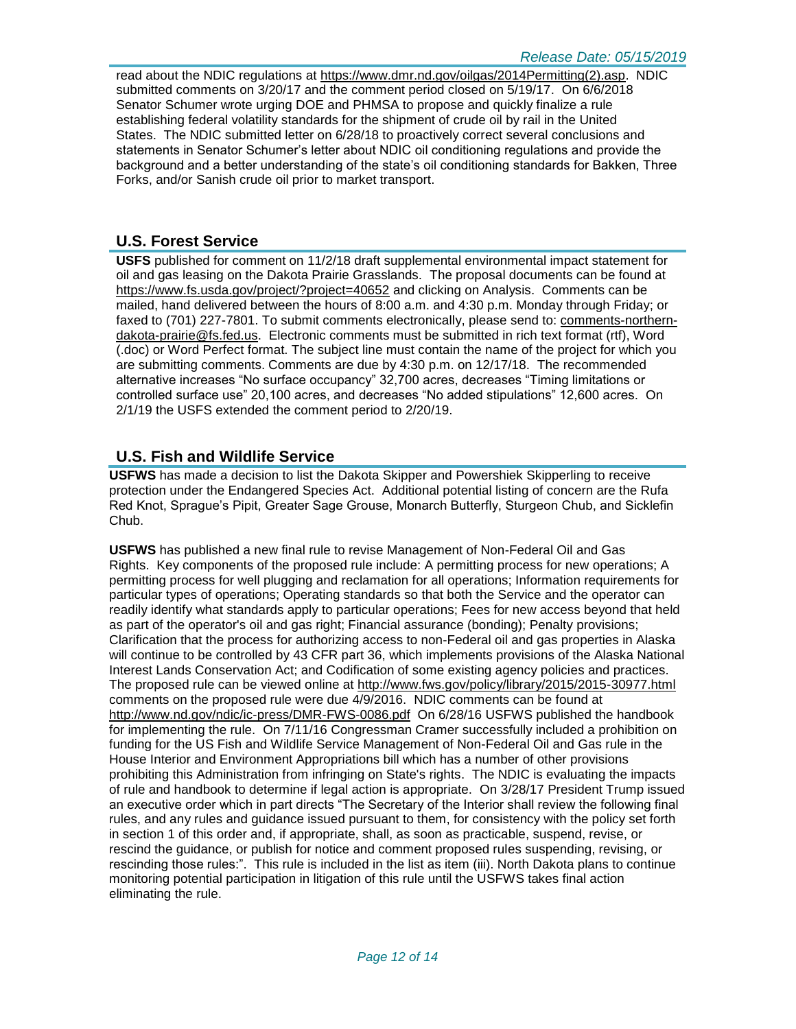read about the NDIC regulations at [https://www.dmr.nd.gov/oilgas/2014Permitting\(2\).asp.](https://www.dmr.nd.gov/oilgas/2014Permitting(2).asp) NDIC submitted comments on 3/20/17 and the comment period closed on 5/19/17. On 6/6/2018 Senator Schumer wrote urging DOE and PHMSA to propose and quickly finalize a rule establishing federal volatility standards for the shipment of crude oil by rail in the United States. The NDIC submitted letter on 6/28/18 to proactively correct several conclusions and statements in Senator Schumer's letter about NDIC oil conditioning regulations and provide the background and a better understanding of the state's oil conditioning standards for Bakken, Three Forks, and/or Sanish crude oil prior to market transport.

## **U.S. Forest Service**

**USFS** published for comment on 11/2/18 draft supplemental environmental impact statement for oil and gas leasing on the Dakota Prairie Grasslands. The proposal documents can be found at <https://www.fs.usda.gov/project/?project=40652> and clicking on Analysis. Comments can be mailed, hand delivered between the hours of 8:00 a.m. and 4:30 p.m. Monday through Friday; or faxed to (701) 227-7801. To submit comments electronically, please send to: [comments-northern](mailto:comments-northern-dakota-prairie@fs.fed.us)[dakota-prairie@fs.fed.us.](mailto:comments-northern-dakota-prairie@fs.fed.us) Electronic comments must be submitted in rich text format (rtf), Word (.doc) or Word Perfect format. The subject line must contain the name of the project for which you are submitting comments. Comments are due by 4:30 p.m. on 12/17/18. The recommended alternative increases "No surface occupancy" 32,700 acres, decreases "Timing limitations or controlled surface use" 20,100 acres, and decreases "No added stipulations" 12,600 acres. On 2/1/19 the USFS extended the comment period to 2/20/19.

# **U.S. Fish and Wildlife Service**

**USFWS** has made a decision to list the Dakota Skipper and Powershiek Skipperling to receive protection under the Endangered Species Act. Additional potential listing of concern are the Rufa Red Knot, Sprague's Pipit, Greater Sage Grouse, Monarch Butterfly, Sturgeon Chub, and Sicklefin Chub.

**USFWS** has published a new final rule to revise Management of Non-Federal Oil and Gas Rights. Key components of the proposed rule include: A permitting process for new operations; A permitting process for well plugging and reclamation for all operations; Information requirements for particular types of operations; Operating standards so that both the Service and the operator can readily identify what standards apply to particular operations; Fees for new access beyond that held as part of the operator's oil and gas right; Financial assurance (bonding); Penalty provisions; Clarification that the process for authorizing access to non-Federal oil and gas properties in Alaska will continue to be controlled by 43 CFR part 36, which implements provisions of the Alaska National Interest Lands Conservation Act; and Codification of some existing agency policies and practices. The proposed rule can be viewed online at<http://www.fws.gov/policy/library/2015/2015-30977.html> comments on the proposed rule were due 4/9/2016. NDIC comments can be found at <http://www.nd.gov/ndic/ic-press/DMR-FWS-0086.pdf> On 6/28/16 USFWS published the handbook for implementing the rule. On 7/11/16 Congressman Cramer successfully included a prohibition on funding for the US Fish and Wildlife Service Management of Non-Federal Oil and Gas rule in the House Interior and Environment Appropriations bill which has a number of other provisions prohibiting this Administration from infringing on State's rights. The NDIC is evaluating the impacts of rule and handbook to determine if legal action is appropriate. On 3/28/17 President Trump issued an executive order which in part directs "The Secretary of the Interior shall review the following final rules, and any rules and guidance issued pursuant to them, for consistency with the policy set forth in section 1 of this order and, if appropriate, shall, as soon as practicable, suspend, revise, or rescind the guidance, or publish for notice and comment proposed rules suspending, revising, or rescinding those rules:". This rule is included in the list as item (iii). North Dakota plans to continue monitoring potential participation in litigation of this rule until the USFWS takes final action eliminating the rule.